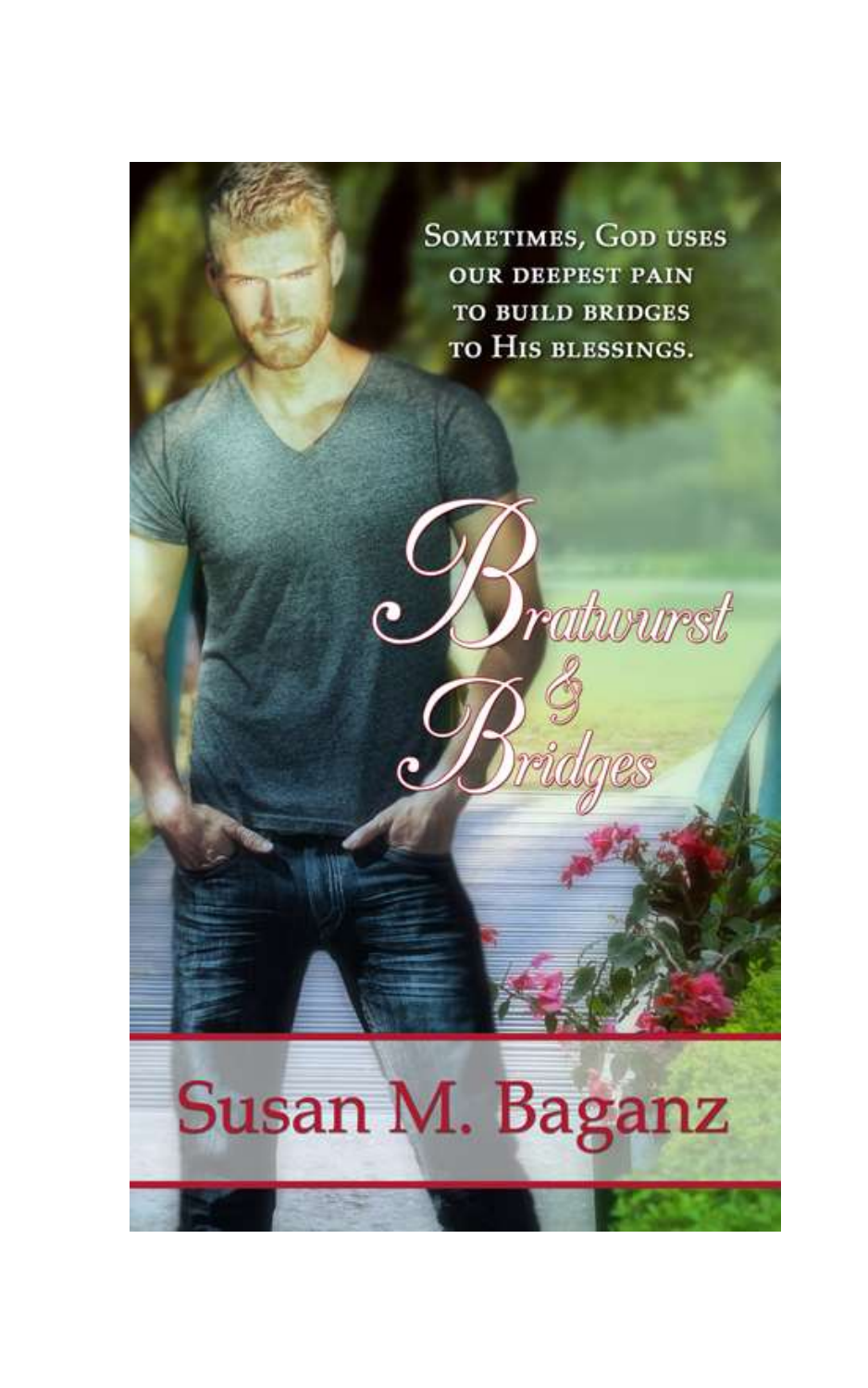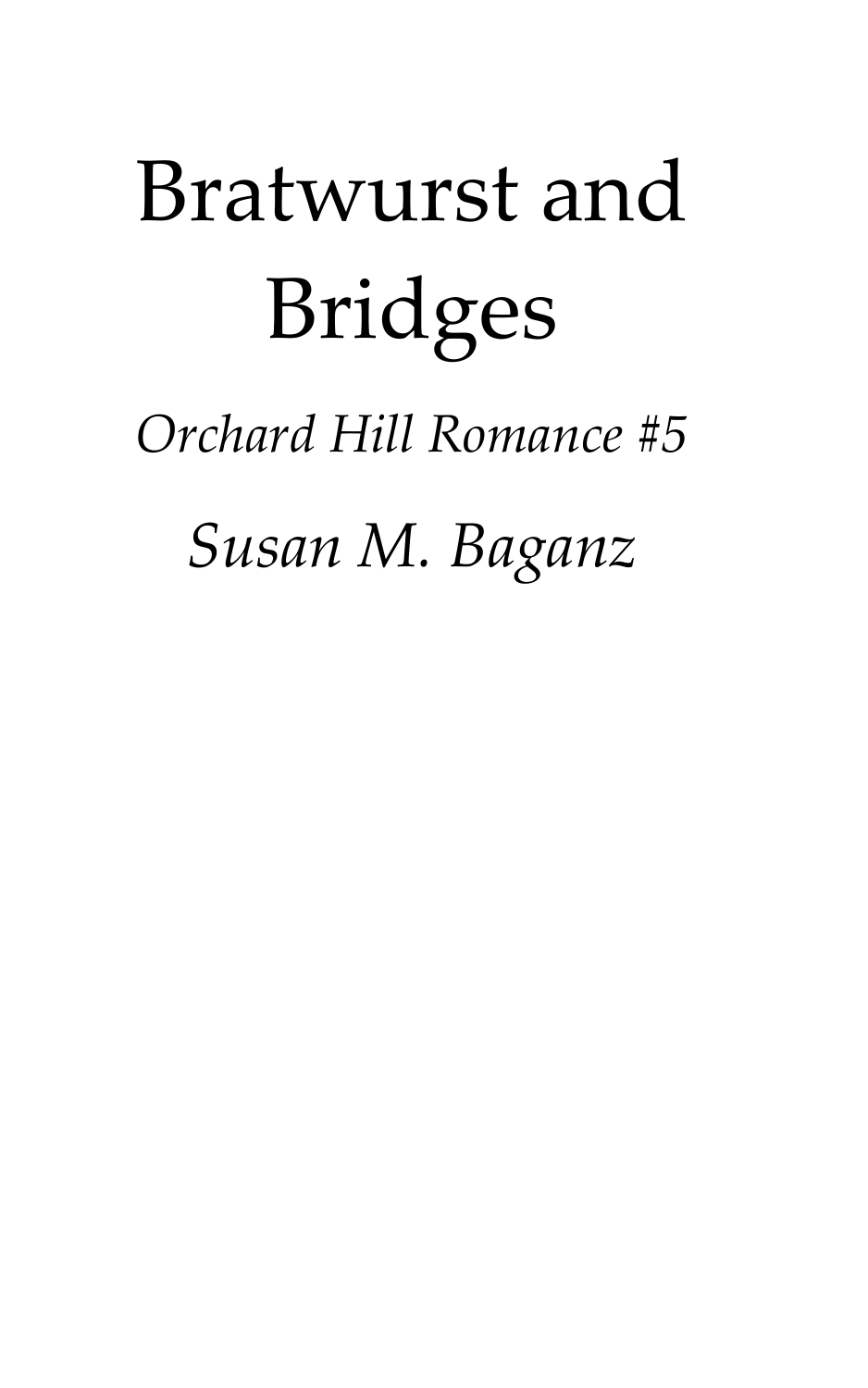# Bratwurst and Bridges

*Orchard Hill Romance #5*

*Susan M. Baganz*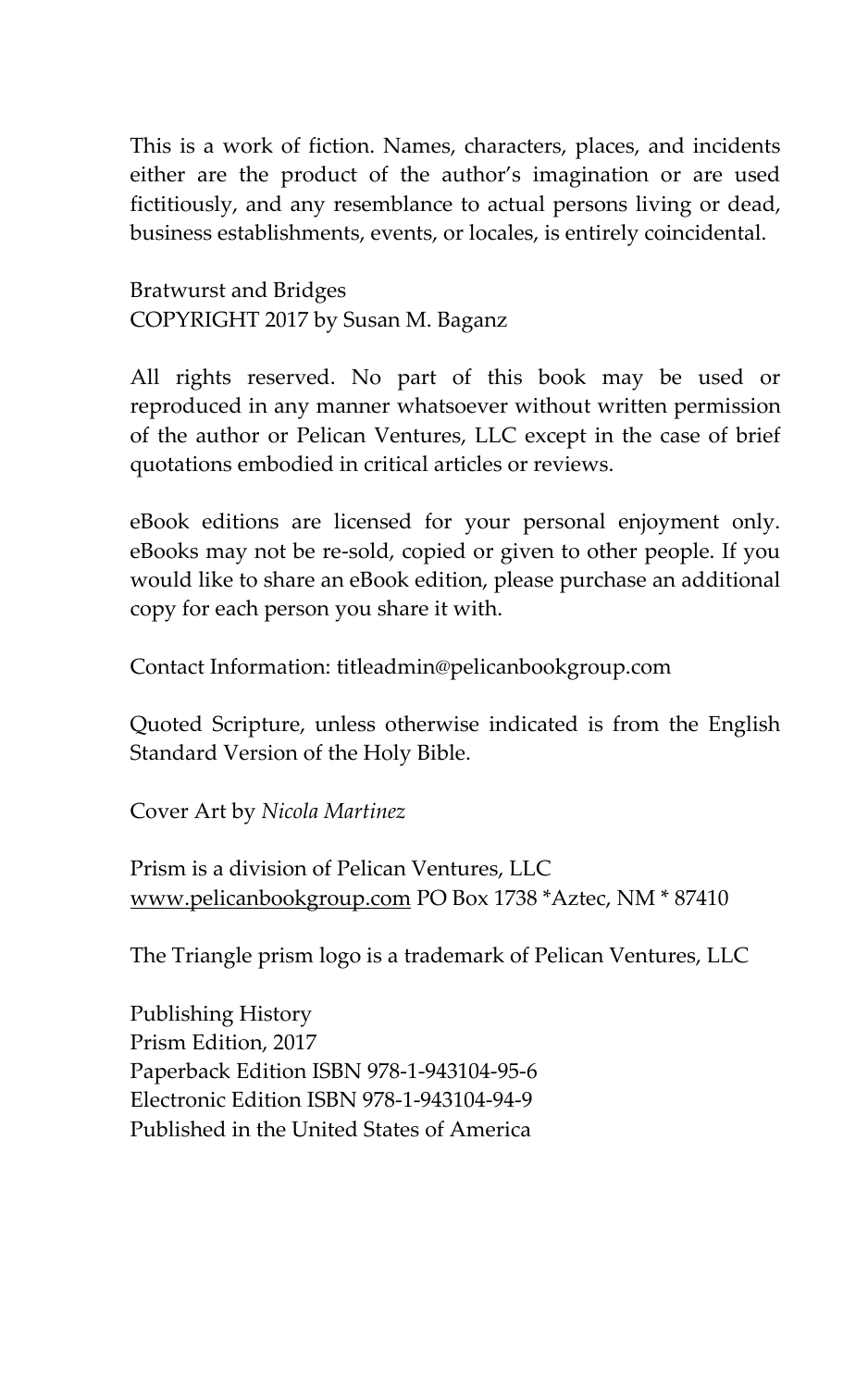This is a work of fiction. Names, characters, places, and incidents either are the product of the author's imagination or are used fictitiously, and any resemblance to actual persons living or dead, business establishments, events, or locales, is entirely coincidental.

Bratwurst and Bridges COPYRIGHT 2017 by Susan M. Baganz

All rights reserved. No part of this book may be used or reproduced in any manner whatsoever without written permission of the author or Pelican Ventures, LLC except in the case of brief quotations embodied in critical articles or reviews.

eBook editions are licensed for your personal enjoyment only. eBooks may not be re-sold, copied or given to other people. If you would like to share an eBook edition, please purchase an additional copy for each person you share it with.

Contact Information: titleadmin@pelicanbookgroup.com

Quoted Scripture, unless otherwise indicated is from the English Standard Version of the Holy Bible.

Cover Art by *Nicola Martinez*

Prism is a division of Pelican Ventures, LLC [www.pelicanbookgroup.com](http://www.pelicanbookgroup.com/) PO Box 1738 \*Aztec, NM \* 87410

The Triangle prism logo is a trademark of Pelican Ventures, LLC

Publishing History Prism Edition, 2017 Paperback Edition ISBN 978-1-943104-95-6 Electronic Edition ISBN 978-1-943104-94-9 Published in the United States of America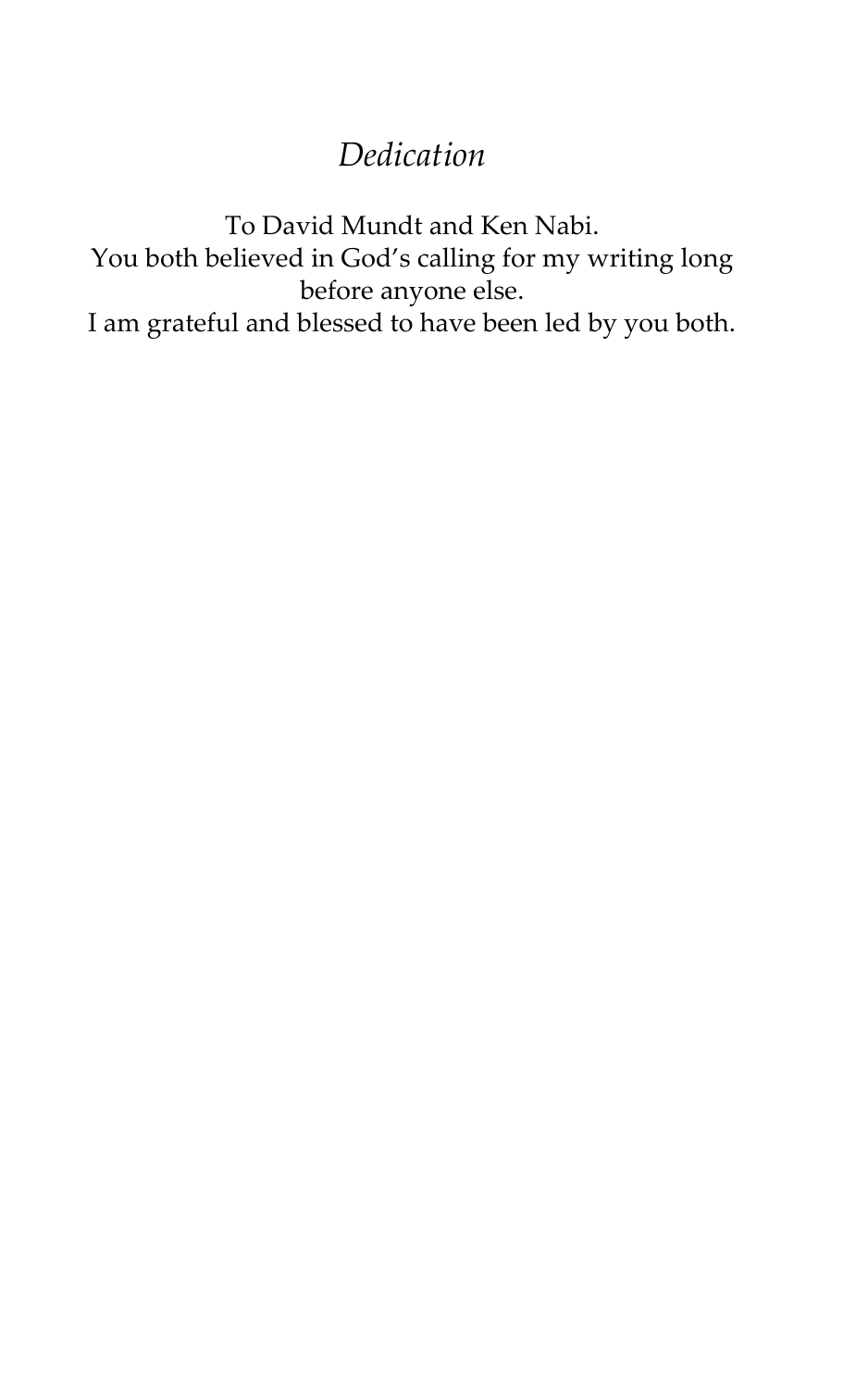#### *Dedication*

To David Mundt and Ken Nabi. You both believed in God's calling for my writing long before anyone else. I am grateful and blessed to have been led by you both.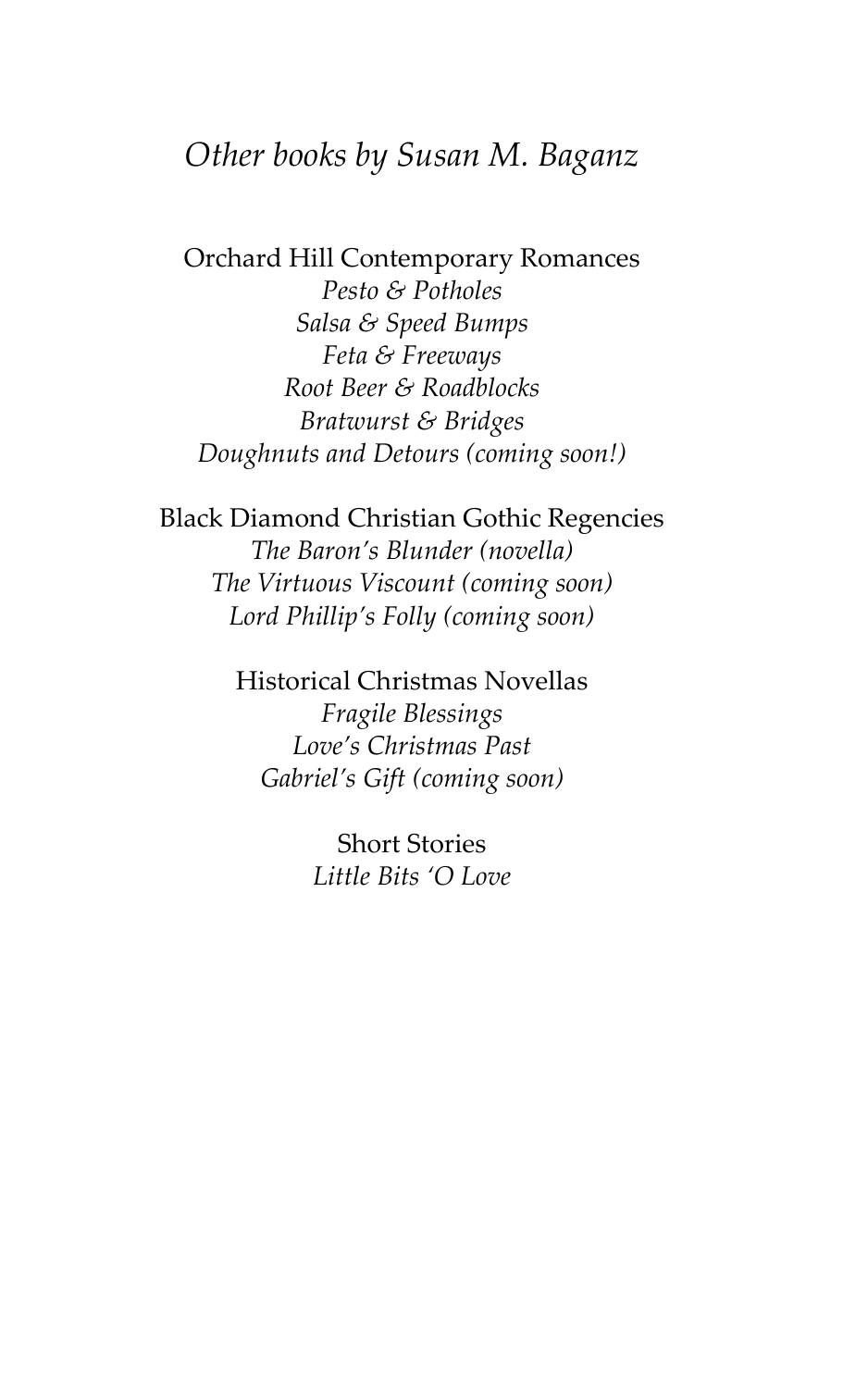#### *Other books by Susan M. Baganz*

Orchard Hill Contemporary Romances *Pesto & Potholes Salsa & Speed Bumps Feta & Freeways Root Beer & Roadblocks Bratwurst & Bridges Doughnuts and Detours (coming soon!)*

Black Diamond Christian Gothic Regencies *The Baron's Blunder (novella) The Virtuous Viscount (coming soon) Lord Phillip's Folly (coming soon)*

> Historical Christmas Novellas *Fragile Blessings Love's Christmas Past Gabriel's Gift (coming soon)*

> > Short Stories *Little Bits 'O Love*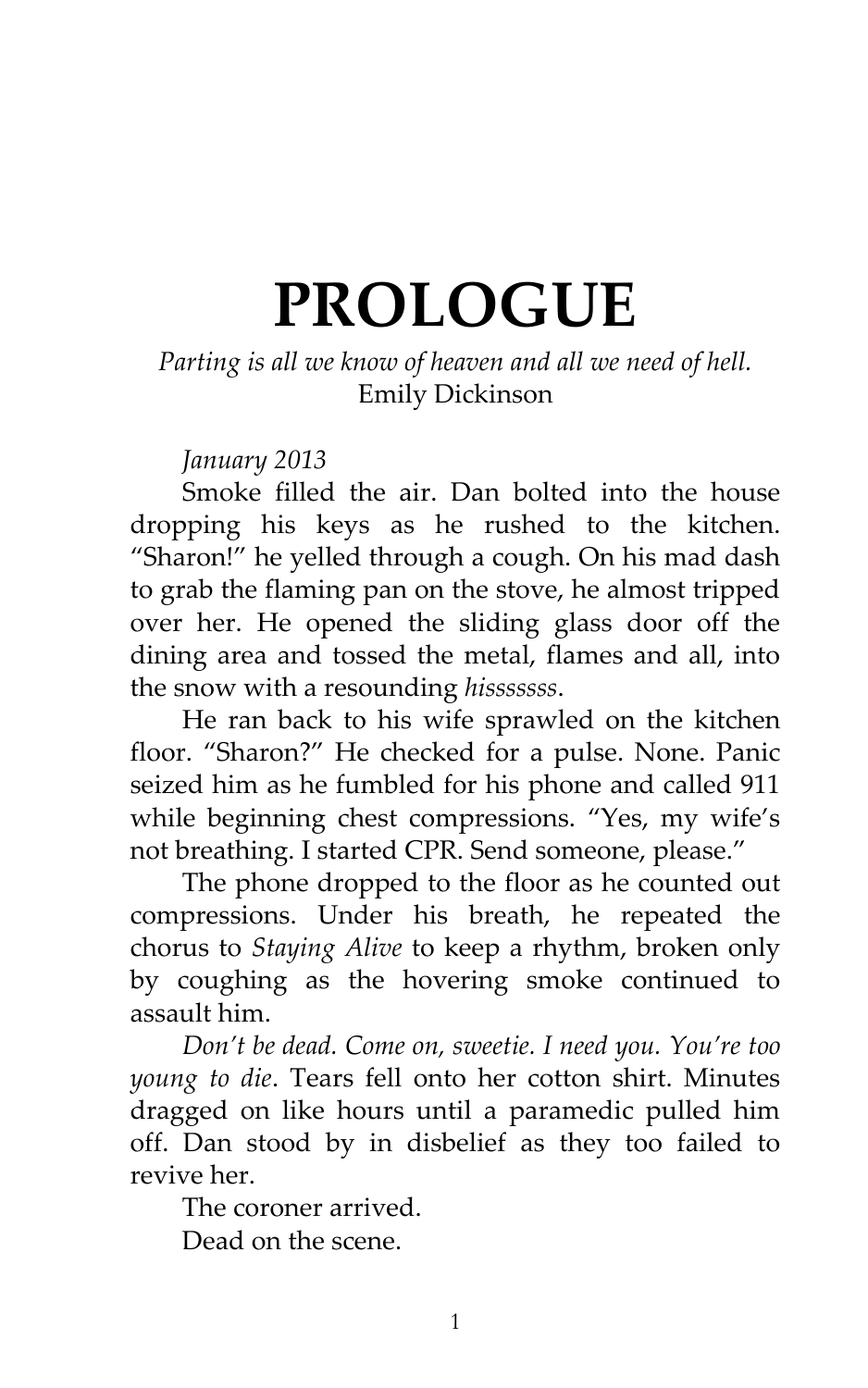# **PROLOGUE**

#### *Parting is all we know of heaven and all we need of hell.* Emily Dickinson

*January 2013*

Smoke filled the air. Dan bolted into the house dropping his keys as he rushed to the kitchen. 'Sharon!' he yelled through a cough. On his mad dash to grab the flaming pan on the stove, he almost tripped over her. He opened the sliding glass door off the dining area and tossed the metal, flames and all, into the snow with a resounding *hisssssss*.

He ran back to his wife sprawled on the kitchen floor. 'Sharon?' He checked for a pulse. None. Panic seized him as he fumbled for his phone and called 911 while beginning chest compressions. 'Yes, my wife's not breathing. I started CPR. Send someone, please.'

The phone dropped to the floor as he counted out compressions. Under his breath, he repeated the chorus to *Staying Alive* to keep a rhythm, broken only by coughing as the hovering smoke continued to assault him.

*Don't be dead. Come on, sweetie. I need you. You're too young to die*. Tears fell onto her cotton shirt. Minutes dragged on like hours until a paramedic pulled him off. Dan stood by in disbelief as they too failed to revive her.

The coroner arrived. Dead on the scene.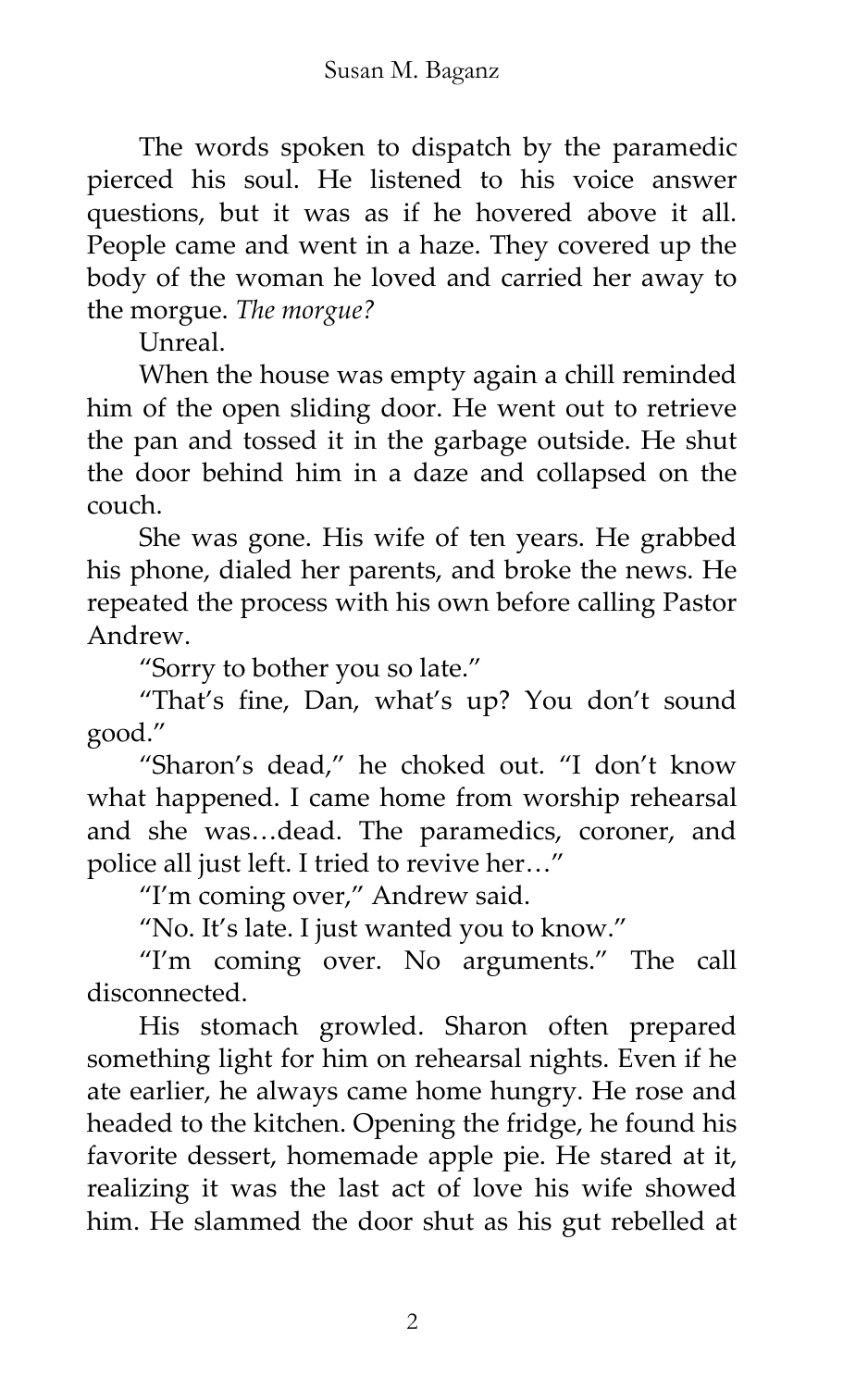The words spoken to dispatch by the paramedic pierced his soul. He listened to his voice answer questions, but it was as if he hovered above it all. People came and went in a haze. They covered up the body of the woman he loved and carried her away to the morgue. *The morgue?*

Unreal.

When the house was empty again a chill reminded him of the open sliding door. He went out to retrieve the pan and tossed it in the garbage outside. He shut the door behind him in a daze and collapsed on the couch.

She was gone. His wife of ten years. He grabbed his phone, dialed her parents, and broke the news. He repeated the process with his own before calling Pastor Andrew.

'Sorry to bother you so late.'

'That's fine, Dan, what's up? You don't sound good.'

'Sharon's dead,' he choked out. 'I don't know what happened. I came home from worship rehearsal and she was…dead. The paramedics, coroner, and police all just left. I tried to revive her…'

'I'm coming over,' Andrew said.

'No. It's late. I just wanted you to know.'

'I'm coming over. No arguments.' The call disconnected.

His stomach growled. Sharon often prepared something light for him on rehearsal nights. Even if he ate earlier, he always came home hungry. He rose and headed to the kitchen. Opening the fridge, he found his favorite dessert, homemade apple pie. He stared at it, realizing it was the last act of love his wife showed him. He slammed the door shut as his gut rebelled at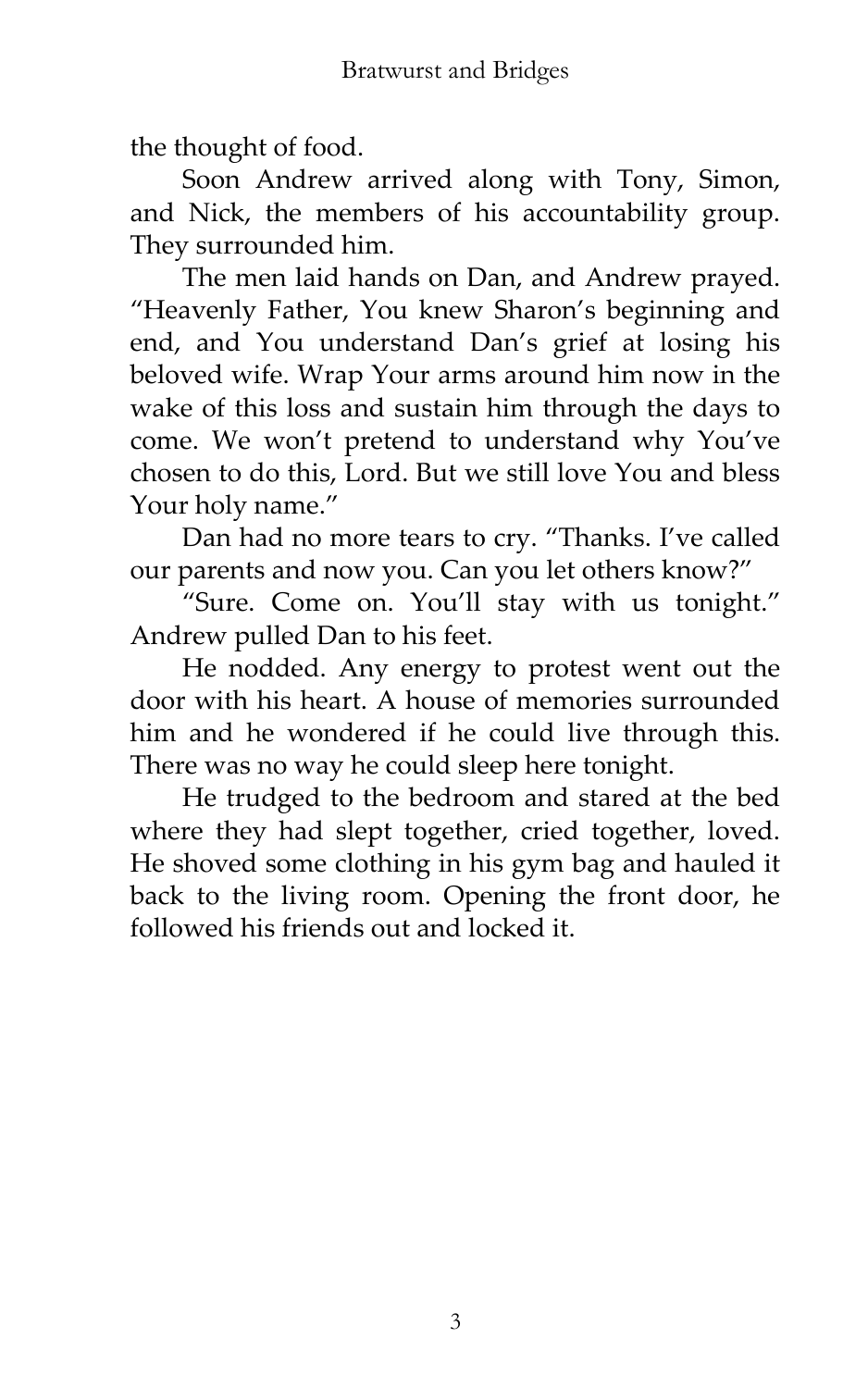the thought of food.

Soon Andrew arrived along with Tony, Simon, and Nick, the members of his accountability group. They surrounded him.

The men laid hands on Dan, and Andrew prayed. 'Heavenly Father, You knew Sharon's beginning and end, and You understand Dan's grief at losing his beloved wife. Wrap Your arms around him now in the wake of this loss and sustain him through the days to come. We won't pretend to understand why You've chosen to do this, Lord. But we still love You and bless Your holy name.'

Dan had no more tears to cry. 'Thanks. I've called our parents and now you. Can you let others know?'

'Sure. Come on. You'll stay with us tonight.' Andrew pulled Dan to his feet.

He nodded. Any energy to protest went out the door with his heart. A house of memories surrounded him and he wondered if he could live through this. There was no way he could sleep here tonight.

He trudged to the bedroom and stared at the bed where they had slept together, cried together, loved. He shoved some clothing in his gym bag and hauled it back to the living room. Opening the front door, he followed his friends out and locked it.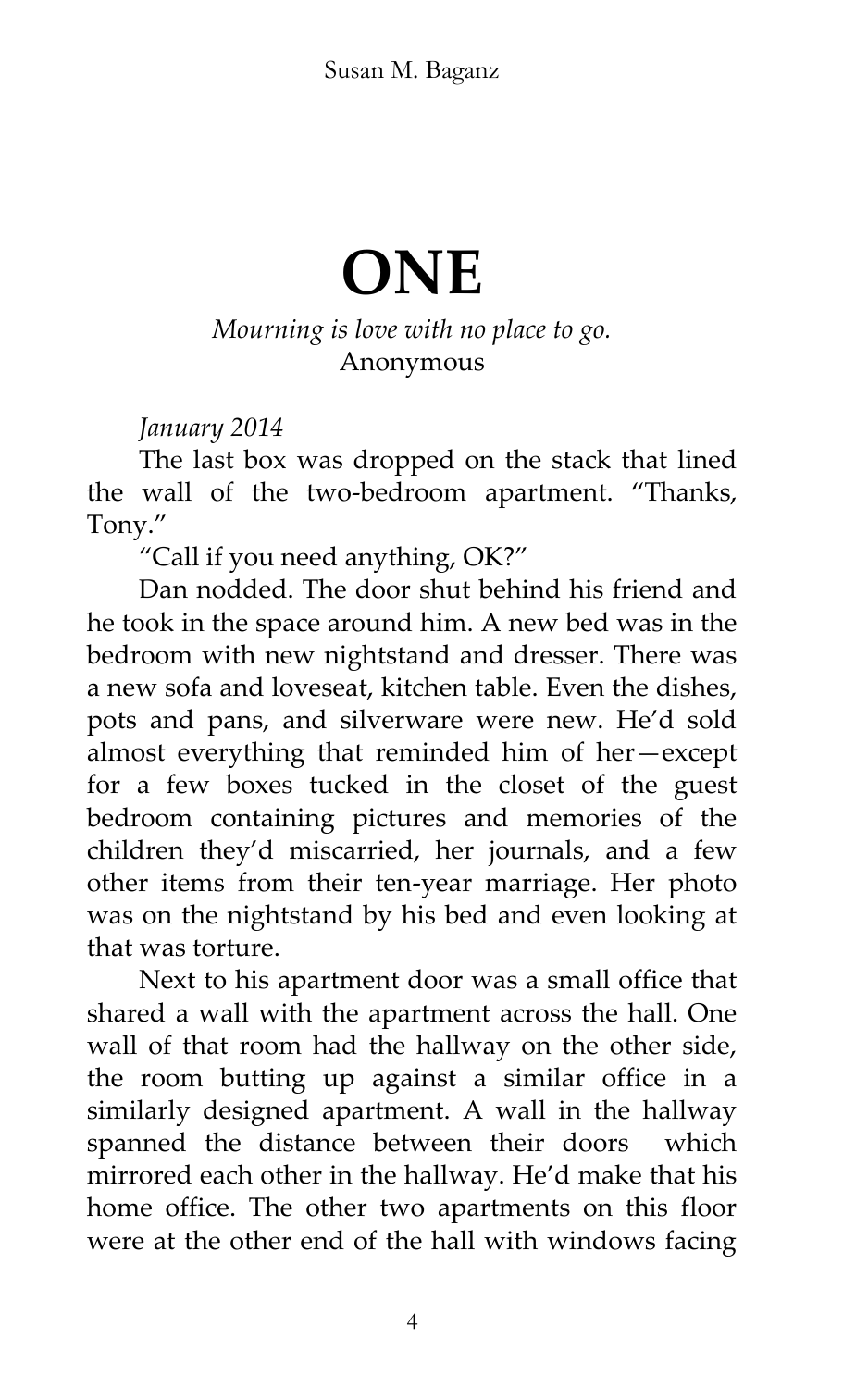### **ONE**

#### *Mourning is love with no place to go.* Anonymous

#### *January 2014*

The last box was dropped on the stack that lined the wall of the two-bedroom apartment. 'Thanks, Tony.'

'Call if you need anything, OK?'

Dan nodded. The door shut behind his friend and he took in the space around him. A new bed was in the bedroom with new nightstand and dresser. There was a new sofa and loveseat, kitchen table. Even the dishes, pots and pans, and silverware were new. He'd sold almost everything that reminded him of her—except for a few boxes tucked in the closet of the guest bedroom containing pictures and memories of the children they'd miscarried, her journals, and a few other items from their ten-year marriage. Her photo was on the nightstand by his bed and even looking at that was torture.

Next to his apartment door was a small office that shared a wall with the apartment across the hall. One wall of that room had the hallway on the other side, the room butting up against a similar office in a similarly designed apartment. A wall in the hallway spanned the distance between their doors which mirrored each other in the hallway. He'd make that his home office. The other two apartments on this floor were at the other end of the hall with windows facing

4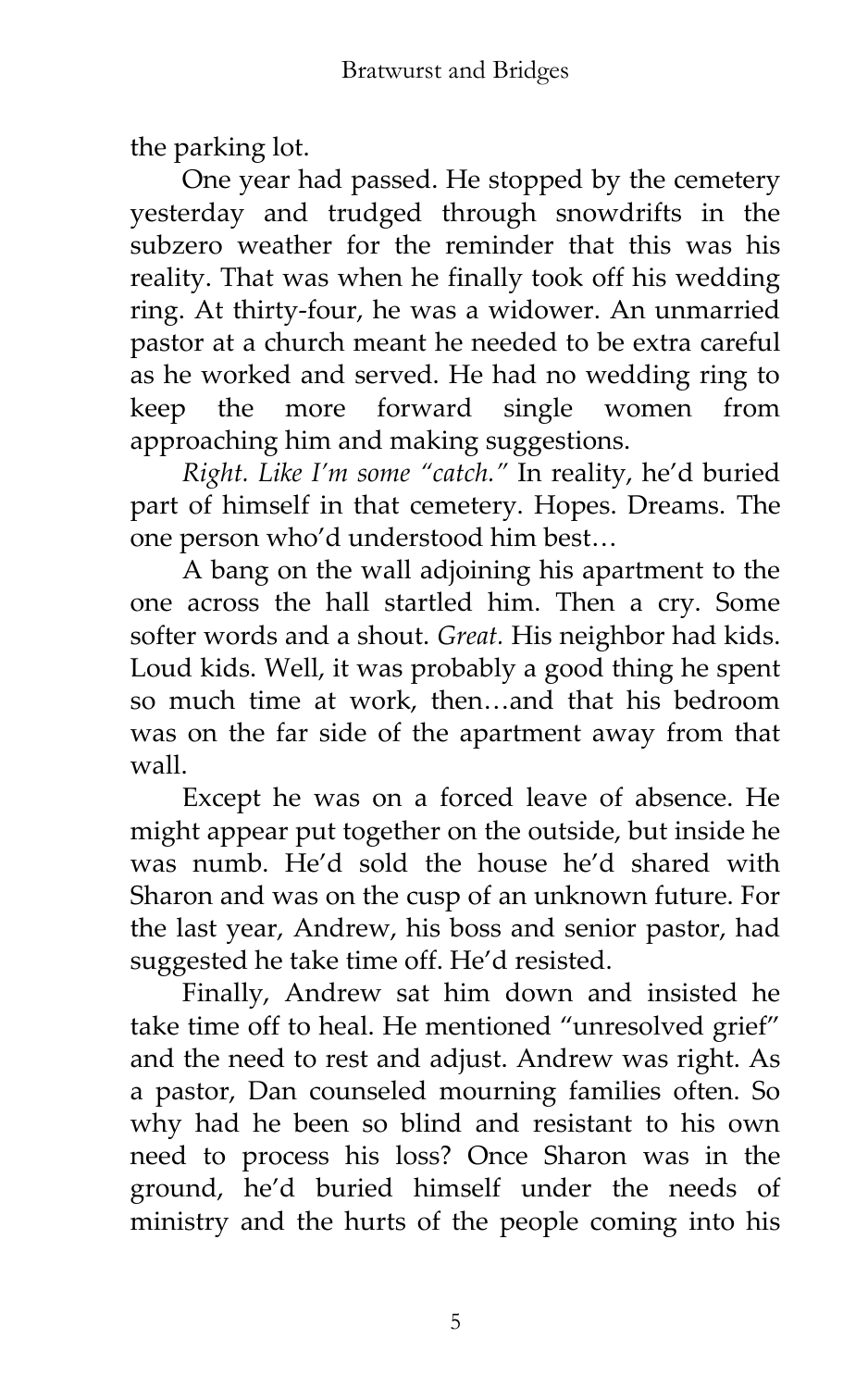the parking lot.

One year had passed. He stopped by the cemetery yesterday and trudged through snowdrifts in the subzero weather for the reminder that this was his reality. That was when he finally took off his wedding ring. At thirty-four, he was a widower. An unmarried pastor at a church meant he needed to be extra careful as he worked and served. He had no wedding ring to keep the more forward single women from approaching him and making suggestions.

*Right. Like I'm some 'catch.'* In reality, he'd buried part of himself in that cemetery. Hopes. Dreams. The one person who'd understood him best…

A bang on the wall adjoining his apartment to the one across the hall startled him. Then a cry. Some softer words and a shout. *Great.* His neighbor had kids. Loud kids. Well, it was probably a good thing he spent so much time at work, then…and that his bedroom was on the far side of the apartment away from that wall.

Except he was on a forced leave of absence. He might appear put together on the outside, but inside he was numb. He'd sold the house he'd shared with Sharon and was on the cusp of an unknown future. For the last year, Andrew, his boss and senior pastor, had suggested he take time off. He'd resisted.

Finally, Andrew sat him down and insisted he take time off to heal. He mentioned "unresolved grief" and the need to rest and adjust. Andrew was right. As a pastor, Dan counseled mourning families often. So why had he been so blind and resistant to his own need to process his loss? Once Sharon was in the ground, he'd buried himself under the needs of ministry and the hurts of the people coming into his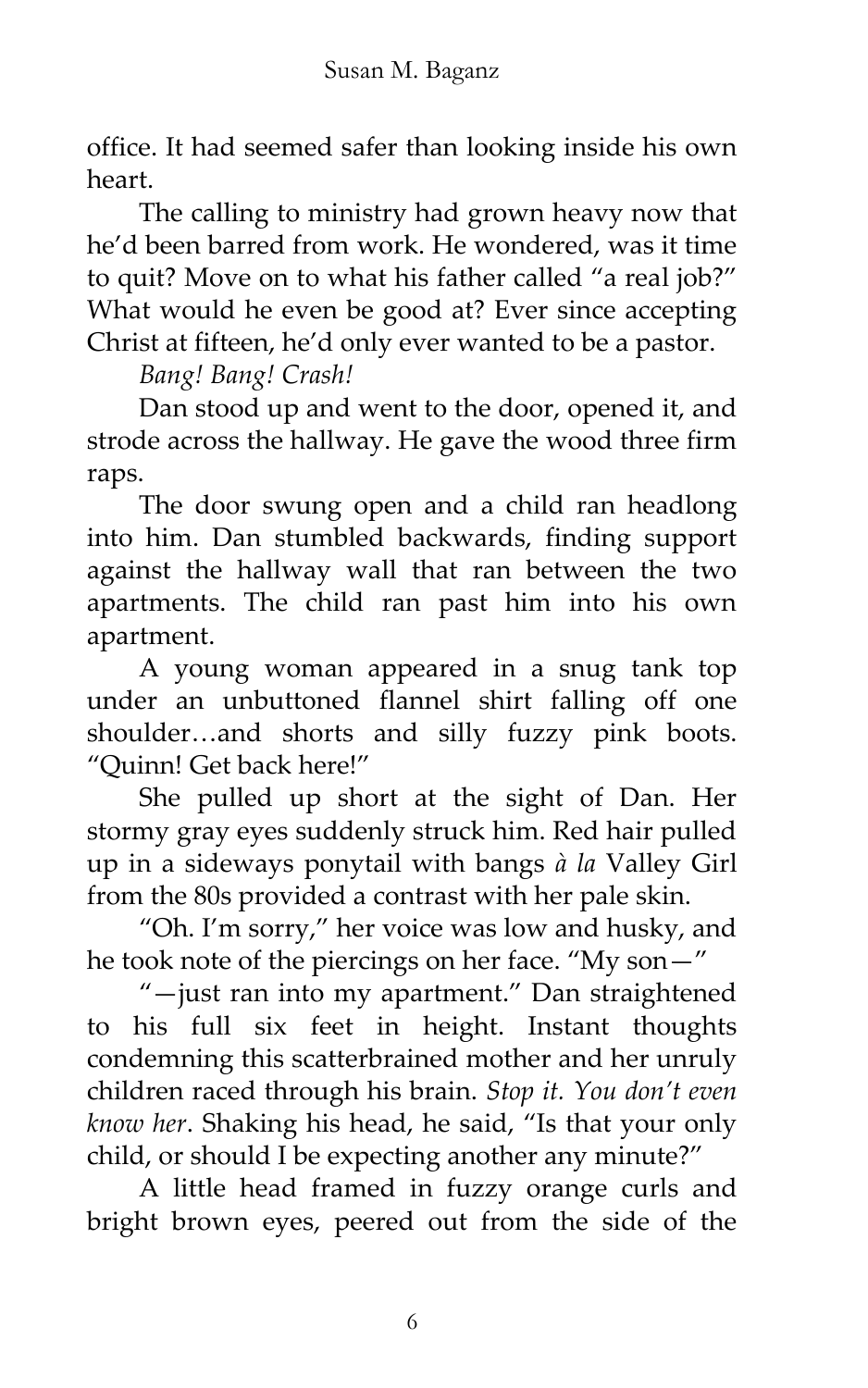office. It had seemed safer than looking inside his own heart.

The calling to ministry had grown heavy now that he'd been barred from work. He wondered, was it time to quit? Move on to what his father called "a real job?" What would he even be good at? Ever since accepting Christ at fifteen, he'd only ever wanted to be a pastor.

*Bang! Bang! Crash!*

Dan stood up and went to the door, opened it, and strode across the hallway. He gave the wood three firm raps.

The door swung open and a child ran headlong into him. Dan stumbled backwards, finding support against the hallway wall that ran between the two apartments. The child ran past him into his own apartment.

A young woman appeared in a snug tank top under an unbuttoned flannel shirt falling off one shoulder…and shorts and silly fuzzy pink boots. 'Quinn! Get back here!'

She pulled up short at the sight of Dan. Her stormy gray eyes suddenly struck him. Red hair pulled up in a sideways ponytail with bangs *à la* Valley Girl from the 80s provided a contrast with her pale skin.

'Oh. I'm sorry,' her voice was low and husky, and he took note of the piercings on her face. 'My son—'

'—just ran into my apartment.' Dan straightened to his full six feet in height. Instant thoughts condemning this scatterbrained mother and her unruly children raced through his brain. *Stop it. You don't even know her*. Shaking his head, he said, 'Is that your only child, or should I be expecting another any minute?'

A little head framed in fuzzy orange curls and bright brown eyes, peered out from the side of the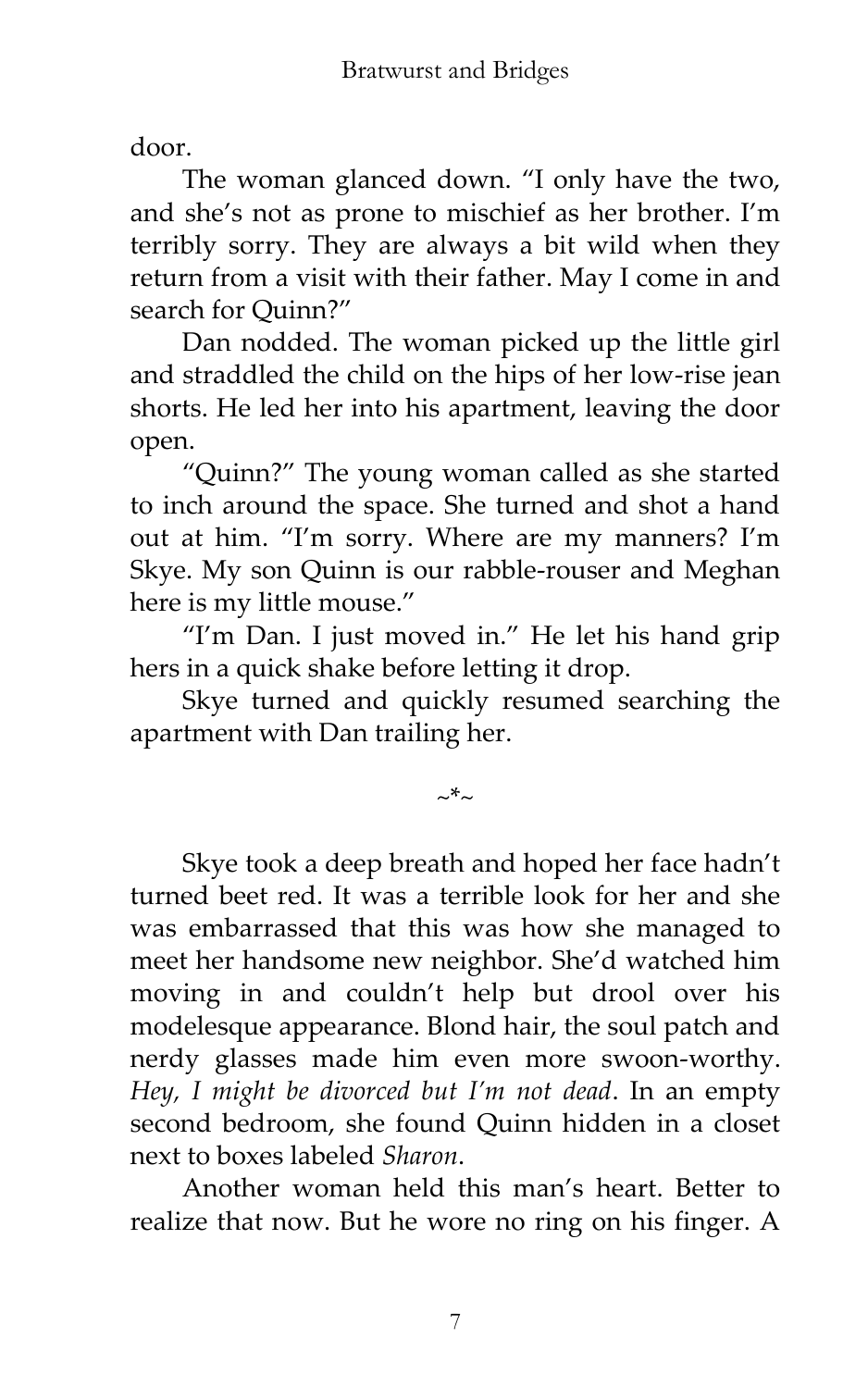door.

The woman glanced down. 'I only have the two, and she's not as prone to mischief as her brother. I'm terribly sorry. They are always a bit wild when they return from a visit with their father. May I come in and search for Ouinn?"

Dan nodded. The woman picked up the little girl and straddled the child on the hips of her low-rise jean shorts. He led her into his apartment, leaving the door open.

'Quinn?' The young woman called as she started to inch around the space. She turned and shot a hand out at him. 'I'm sorry. Where are my manners? I'm Skye. My son Quinn is our rabble-rouser and Meghan here is my little mouse.'

"I'm Dan. I just moved in." He let his hand grip hers in a quick shake before letting it drop.

Skye turned and quickly resumed searching the apartment with Dan trailing her.

~\*~

Skye took a deep breath and hoped her face hadn't turned beet red. It was a terrible look for her and she was embarrassed that this was how she managed to meet her handsome new neighbor. She'd watched him moving in and couldn't help but drool over his modelesque appearance. Blond hair, the soul patch and nerdy glasses made him even more swoon-worthy. *Hey, I might be divorced but I'm not dead*. In an empty second bedroom, she found Quinn hidden in a closet next to boxes labeled *Sharon*.

Another woman held this man's heart. Better to realize that now. But he wore no ring on his finger. A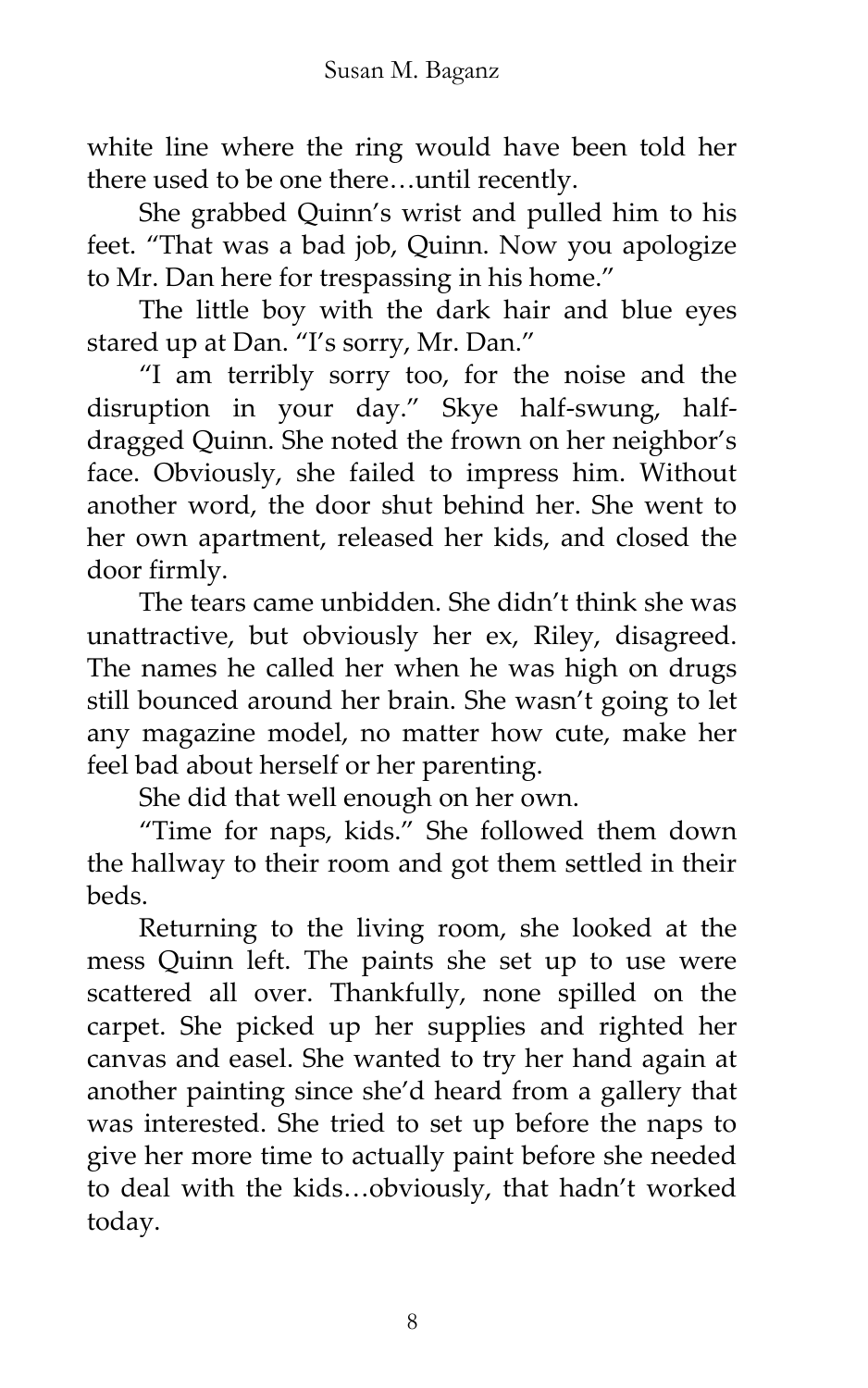white line where the ring would have been told her there used to be one there…until recently.

She grabbed Quinn's wrist and pulled him to his feet. 'That was a bad job, Quinn. Now you apologize to Mr. Dan here for trespassing in his home.'

The little boy with the dark hair and blue eyes stared up at Dan. "I's sorry, Mr. Dan."

'I am terribly sorry too, for the noise and the disruption in your day.' Skye half-swung, halfdragged Quinn. She noted the frown on her neighbor's face. Obviously, she failed to impress him. Without another word, the door shut behind her. She went to her own apartment, released her kids, and closed the door firmly.

The tears came unbidden. She didn't think she was unattractive, but obviously her ex, Riley, disagreed. The names he called her when he was high on drugs still bounced around her brain. She wasn't going to let any magazine model, no matter how cute, make her feel bad about herself or her parenting.

She did that well enough on her own.

'Time for naps, kids.' She followed them down the hallway to their room and got them settled in their beds.

Returning to the living room, she looked at the mess Quinn left. The paints she set up to use were scattered all over. Thankfully, none spilled on the carpet. She picked up her supplies and righted her canvas and easel. She wanted to try her hand again at another painting since she'd heard from a gallery that was interested. She tried to set up before the naps to give her more time to actually paint before she needed to deal with the kids…obviously, that hadn't worked today.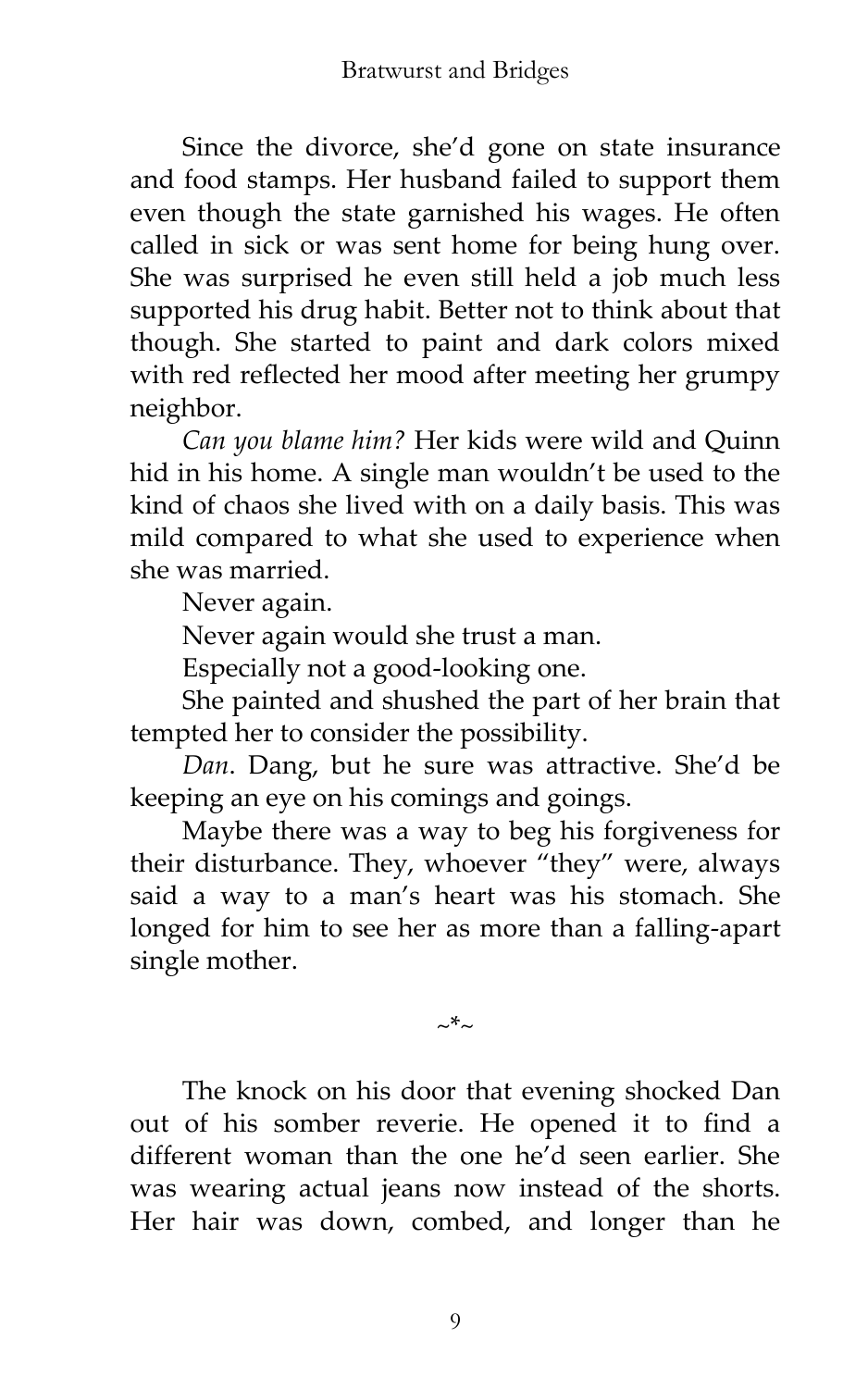Since the divorce, she'd gone on state insurance and food stamps. Her husband failed to support them even though the state garnished his wages. He often called in sick or was sent home for being hung over. She was surprised he even still held a job much less supported his drug habit. Better not to think about that though. She started to paint and dark colors mixed with red reflected her mood after meeting her grumpy neighbor.

*Can you blame him?* Her kids were wild and Quinn hid in his home. A single man wouldn't be used to the kind of chaos she lived with on a daily basis. This was mild compared to what she used to experience when she was married.

Never again.

Never again would she trust a man.

Especially not a good-looking one.

She painted and shushed the part of her brain that tempted her to consider the possibility.

*Dan*. Dang, but he sure was attractive. She'd be keeping an eye on his comings and goings.

Maybe there was a way to beg his forgiveness for their disturbance. They, whoever 'they' were, always said a way to a man's heart was his stomach. She longed for him to see her as more than a falling-apart single mother.

The knock on his door that evening shocked Dan out of his somber reverie. He opened it to find a different woman than the one he'd seen earlier. She was wearing actual jeans now instead of the shorts. Her hair was down, combed, and longer than he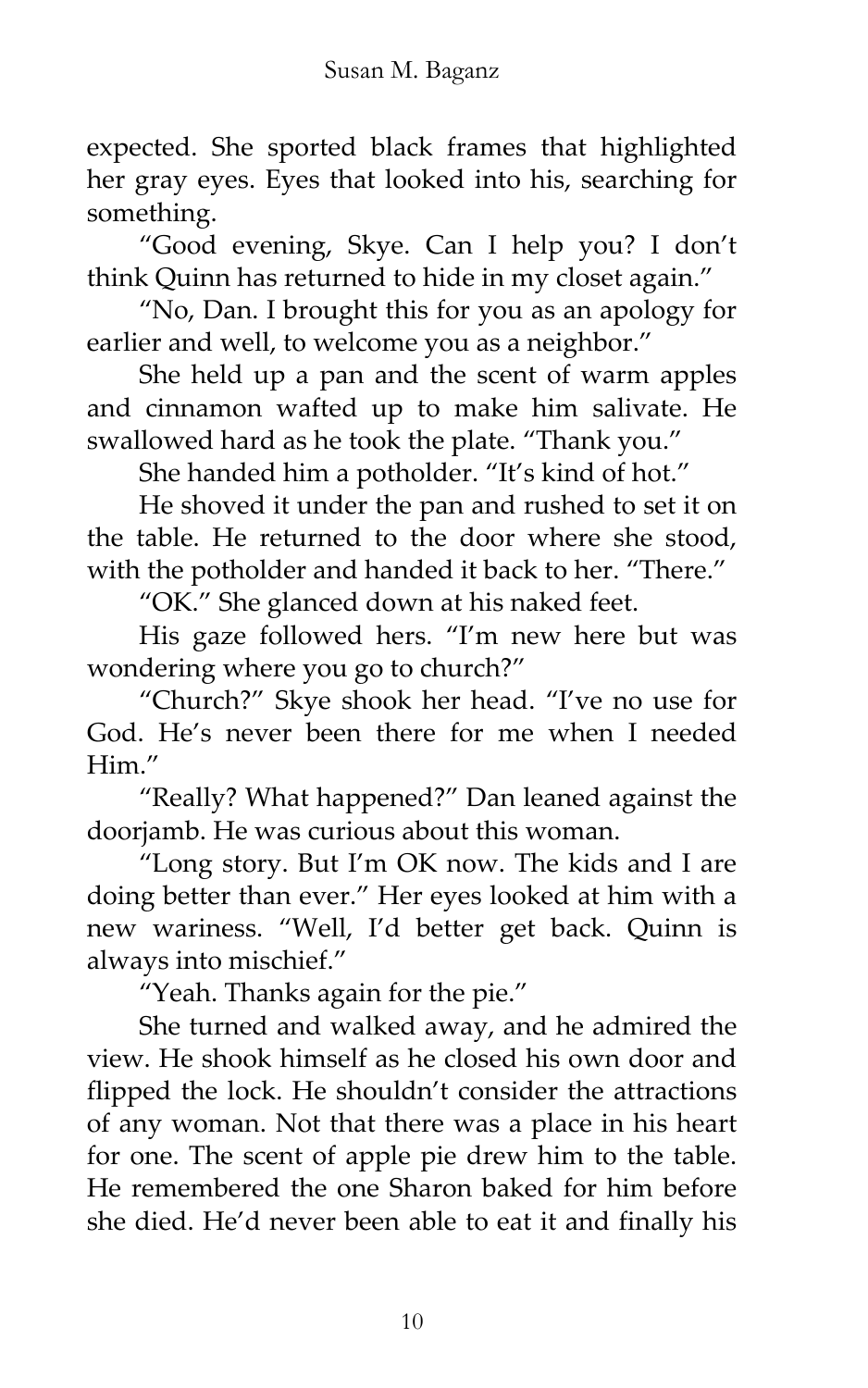expected. She sported black frames that highlighted her gray eyes. Eyes that looked into his, searching for something.

'Good evening, Skye. Can I help you? I don't think Quinn has returned to hide in my closet again.'

'No, Dan. I brought this for you as an apology for earlier and well, to welcome you as a neighbor."

She held up a pan and the scent of warm apples and cinnamon wafted up to make him salivate. He swallowed hard as he took the plate. "Thank you."

She handed him a potholder. "It's kind of hot."

He shoved it under the pan and rushed to set it on the table. He returned to the door where she stood, with the potholder and handed it back to her. "There."

'OK.' She glanced down at his naked feet.

His gaze followed hers. 'I'm new here but was wondering where you go to church?'

'Church?' Skye shook her head. 'I've no use for God. He's never been there for me when I needed Him"

'Really? What happened?' Dan leaned against the doorjamb. He was curious about this woman.

'Long story. But I'm OK now. The kids and I are doing better than ever.' Her eyes looked at him with a new wariness. 'Well, I'd better get back. Quinn is always into mischief.'

'Yeah. Thanks again for the pie.'

She turned and walked away, and he admired the view. He shook himself as he closed his own door and flipped the lock. He shouldn't consider the attractions of any woman. Not that there was a place in his heart for one. The scent of apple pie drew him to the table. He remembered the one Sharon baked for him before she died. He'd never been able to eat it and finally his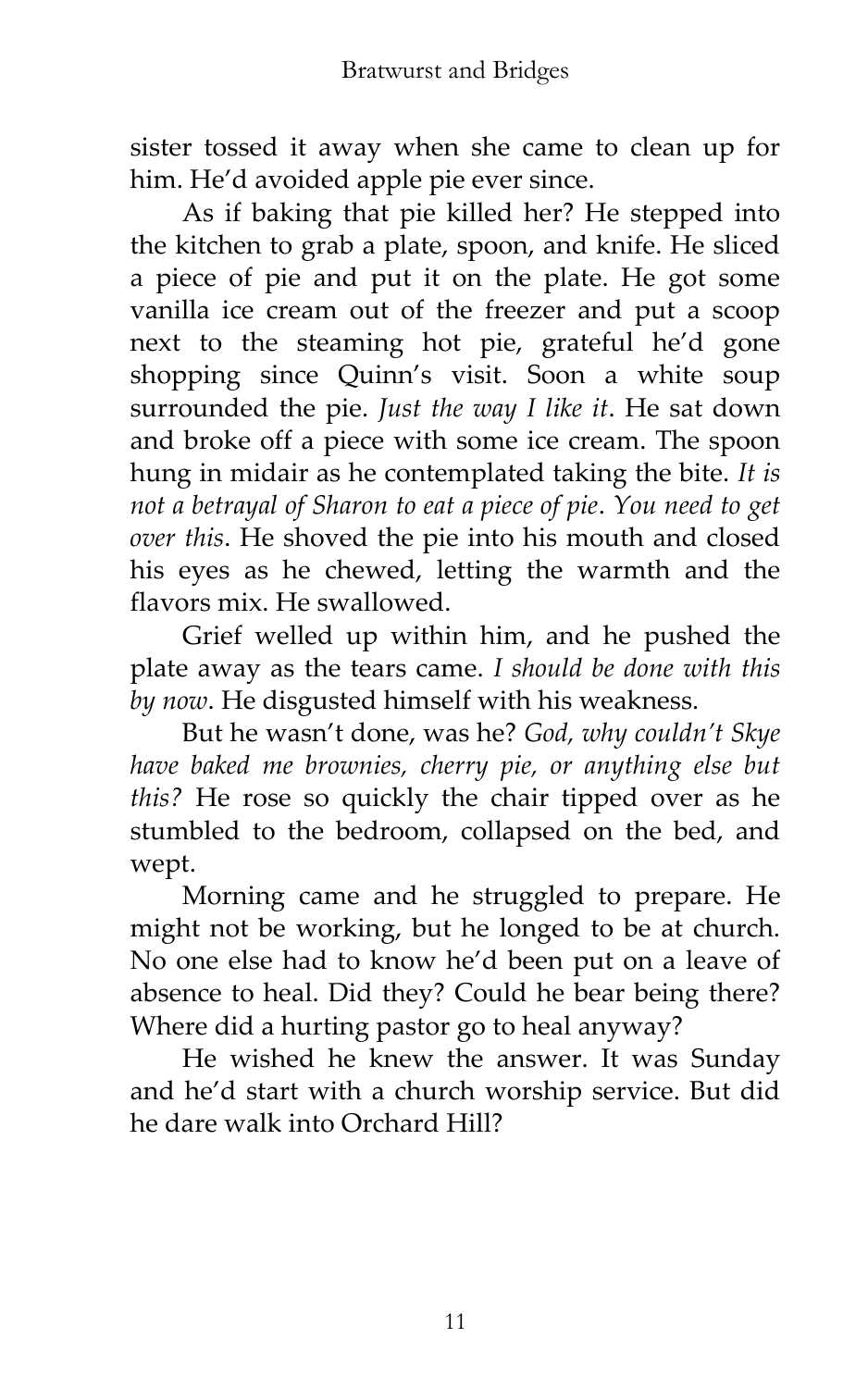sister tossed it away when she came to clean up for him. He'd avoided apple pie ever since.

As if baking that pie killed her? He stepped into the kitchen to grab a plate, spoon, and knife. He sliced a piece of pie and put it on the plate. He got some vanilla ice cream out of the freezer and put a scoop next to the steaming hot pie, grateful he'd gone shopping since Quinn's visit. Soon a white soup surrounded the pie. *Just the way I like it*. He sat down and broke off a piece with some ice cream. The spoon hung in midair as he contemplated taking the bite. *It is not a betrayal of Sharon to eat a piece of pie*. *You need to get over this*. He shoved the pie into his mouth and closed his eyes as he chewed, letting the warmth and the flavors mix. He swallowed.

Grief welled up within him, and he pushed the plate away as the tears came. *I should be done with this by now*. He disgusted himself with his weakness.

But he wasn't done, was he? *God, why couldn't Skye have baked me brownies, cherry pie, or anything else but this?* He rose so quickly the chair tipped over as he stumbled to the bedroom, collapsed on the bed, and wept.

Morning came and he struggled to prepare. He might not be working, but he longed to be at church. No one else had to know he'd been put on a leave of absence to heal. Did they? Could he bear being there? Where did a hurting pastor go to heal anyway?

He wished he knew the answer. It was Sunday and he'd start with a church worship service. But did he dare walk into Orchard Hill?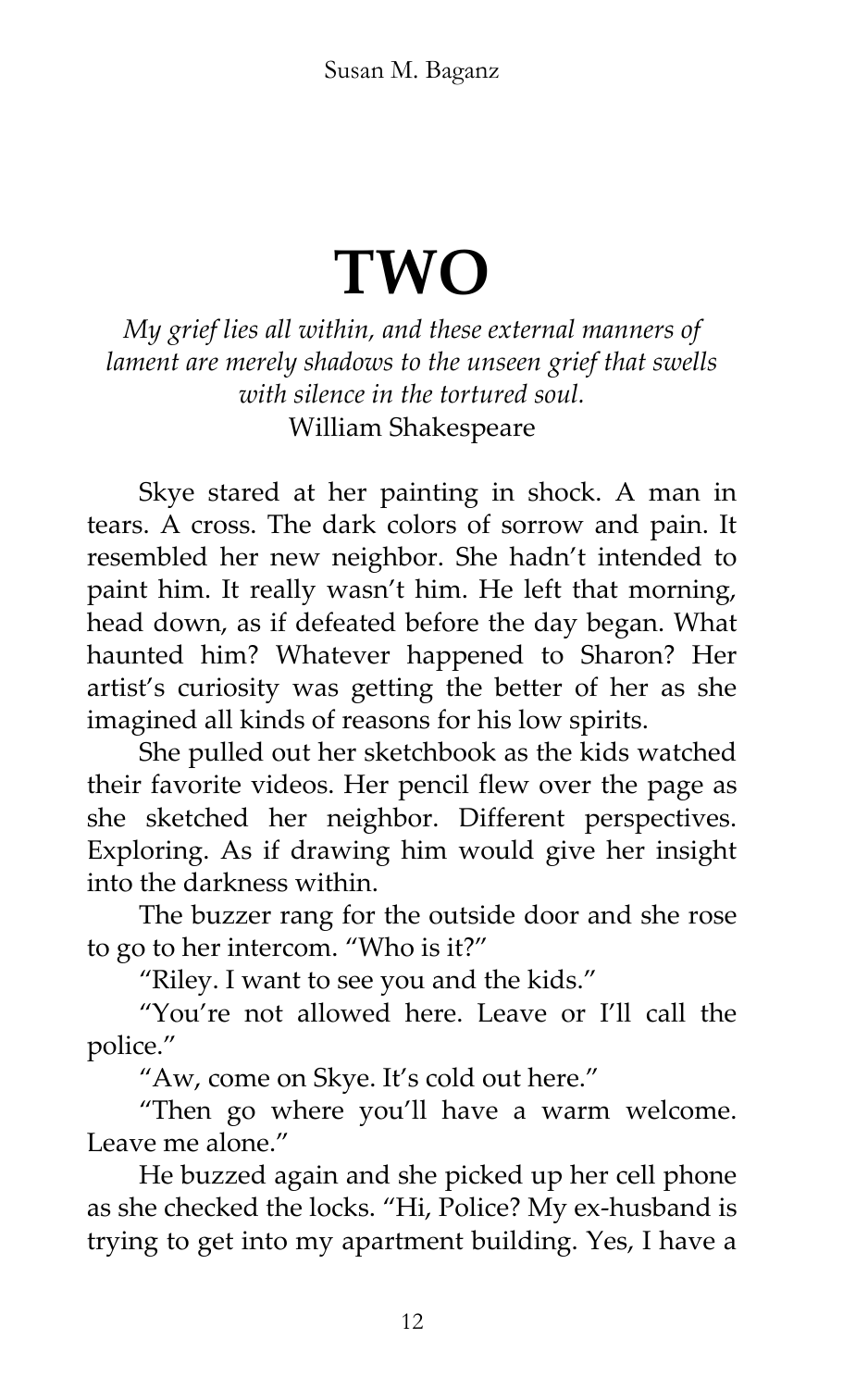## **TWO**

*My grief lies all within, and these external manners of lament are merely shadows to the unseen grief that swells with silence in the tortured soul.* William Shakespeare

Skye stared at her painting in shock. A man in tears. A cross. The dark colors of sorrow and pain. It resembled her new neighbor. She hadn't intended to paint him. It really wasn't him. He left that morning, head down, as if defeated before the day began. What haunted him? Whatever happened to Sharon? Her artist's curiosity was getting the better of her as she imagined all kinds of reasons for his low spirits.

She pulled out her sketchbook as the kids watched their favorite videos. Her pencil flew over the page as she sketched her neighbor. Different perspectives. Exploring. As if drawing him would give her insight into the darkness within.

The buzzer rang for the outside door and she rose to go to her intercom. 'Who is it?'

'Riley. I want to see you and the kids.'

'You're not allowed here. Leave or I'll call the police.'

'Aw, come on Skye. It's cold out here.'

'Then go where you'll have a warm welcome. Leave me alone."

He buzzed again and she picked up her cell phone as she checked the locks. 'Hi, Police? My ex-husband is trying to get into my apartment building. Yes, I have a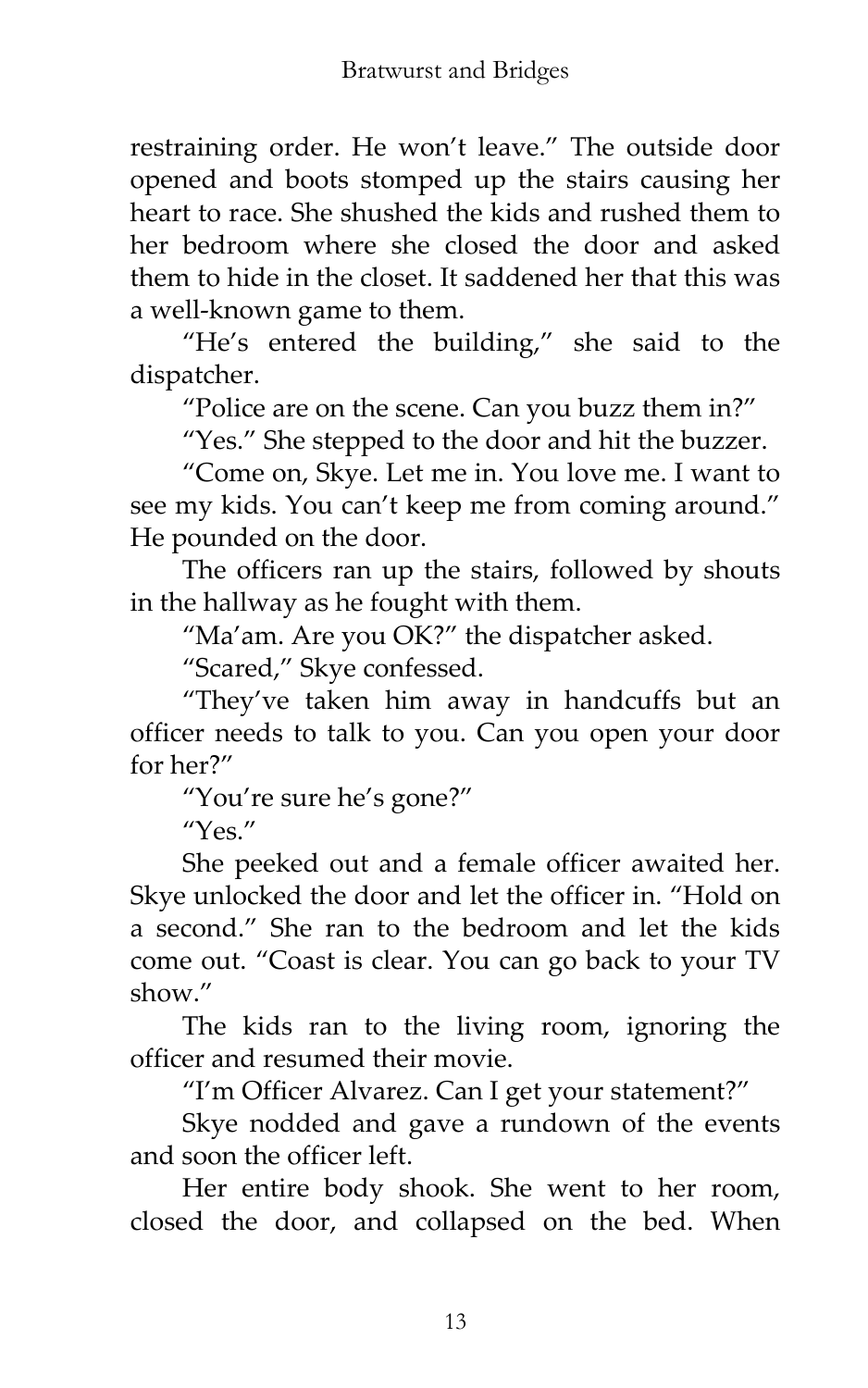restraining order. He won't leave.' The outside door opened and boots stomped up the stairs causing her heart to race. She shushed the kids and rushed them to her bedroom where she closed the door and asked them to hide in the closet. It saddened her that this was a well-known game to them.

'He's entered the building,' she said to the dispatcher.

'Police are on the scene. Can you buzz them in?'

"Yes." She stepped to the door and hit the buzzer.

'Come on, Skye. Let me in. You love me. I want to see my kids. You can't keep me from coming around.' He pounded on the door.

The officers ran up the stairs, followed by shouts in the hallway as he fought with them.

'Ma'am. Are you OK?' the dispatcher asked.

"Scared," Skye confessed.

'They've taken him away in handcuffs but an officer needs to talk to you. Can you open your door for her?'

'You're sure he's gone?'

 $''Y$ es."

She peeked out and a female officer awaited her. Skye unlocked the door and let the officer in. "Hold on a second.' She ran to the bedroom and let the kids come out. 'Coast is clear. You can go back to your TV show"

The kids ran to the living room, ignoring the officer and resumed their movie.

'I'm Officer Alvarez. Can I get your statement?'

Skye nodded and gave a rundown of the events and soon the officer left.

Her entire body shook. She went to her room, closed the door, and collapsed on the bed. When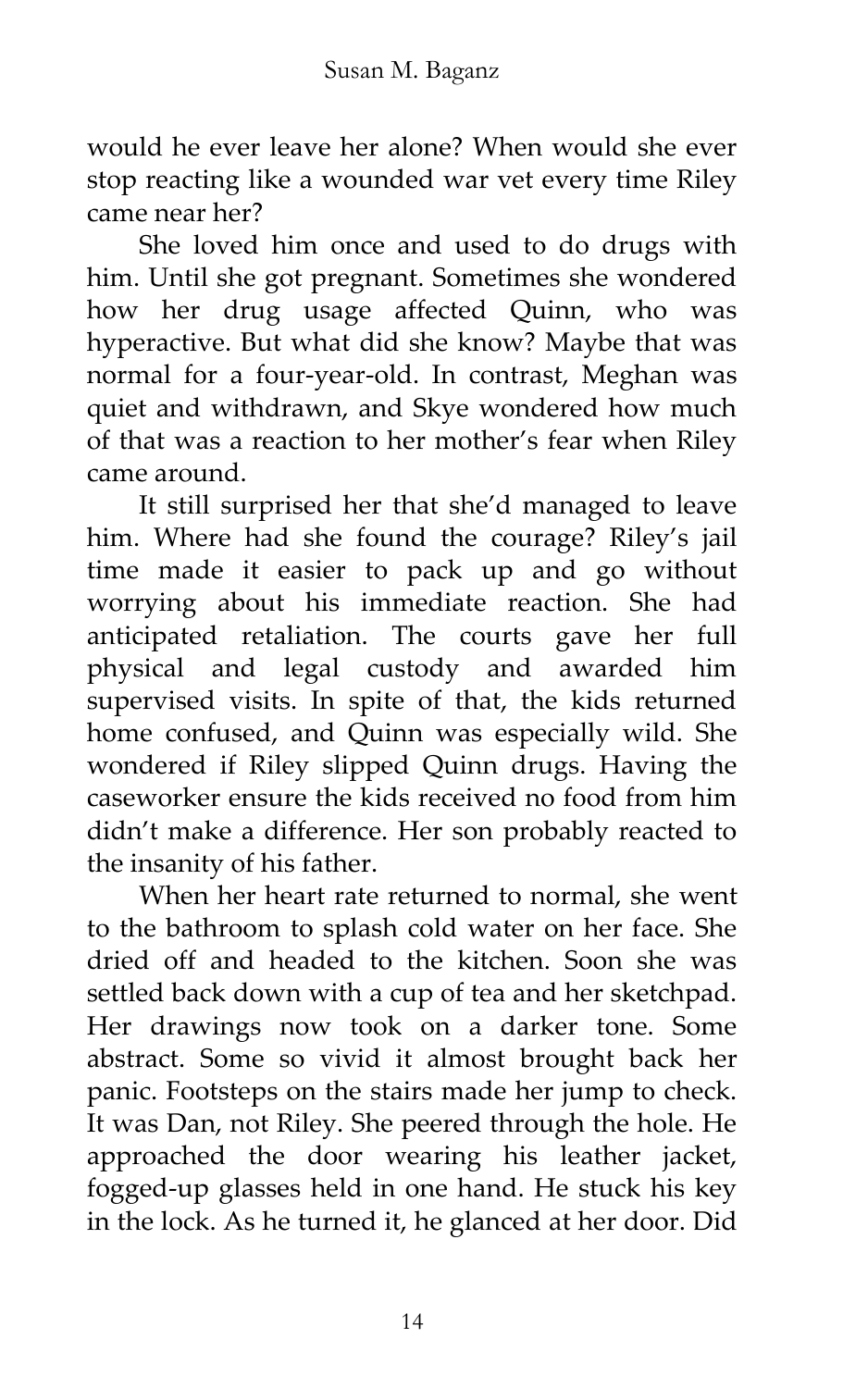would he ever leave her alone? When would she ever stop reacting like a wounded war vet every time Riley came near her?

She loved him once and used to do drugs with him. Until she got pregnant. Sometimes she wondered how her drug usage affected Quinn, who was hyperactive. But what did she know? Maybe that was normal for a four-year-old. In contrast, Meghan was quiet and withdrawn, and Skye wondered how much of that was a reaction to her mother's fear when Riley came around.

It still surprised her that she'd managed to leave him. Where had she found the courage? Riley's jail time made it easier to pack up and go without worrying about his immediate reaction. She had anticipated retaliation. The courts gave her full physical and legal custody and awarded him supervised visits. In spite of that, the kids returned home confused, and Quinn was especially wild. She wondered if Riley slipped Quinn drugs. Having the caseworker ensure the kids received no food from him didn't make a difference. Her son probably reacted to the insanity of his father.

When her heart rate returned to normal, she went to the bathroom to splash cold water on her face. She dried off and headed to the kitchen. Soon she was settled back down with a cup of tea and her sketchpad. Her drawings now took on a darker tone. Some abstract. Some so vivid it almost brought back her panic. Footsteps on the stairs made her jump to check. It was Dan, not Riley. She peered through the hole. He approached the door wearing his leather jacket, fogged-up glasses held in one hand. He stuck his key in the lock. As he turned it, he glanced at her door. Did